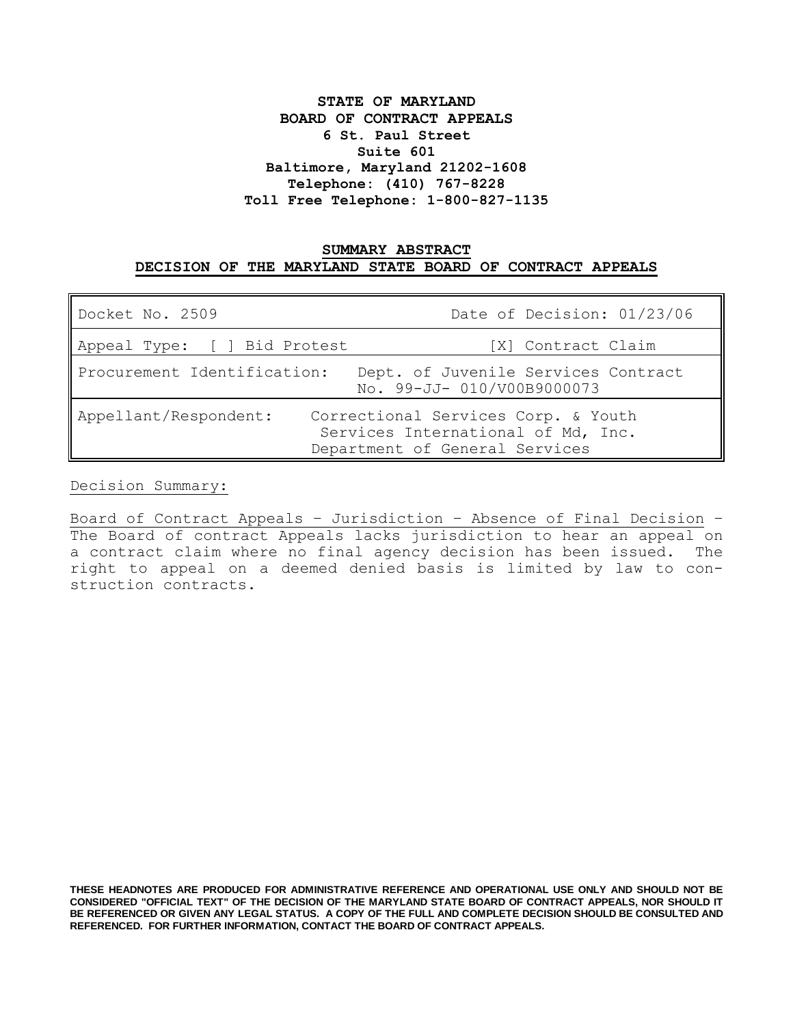# **STATE OF MARYLAND BOARD OF CONTRACT APPEALS 6 St. Paul Street Suite 601 Baltimore, Maryland 21202-1608 Telephone: (410) 767-8228 Toll Free Telephone: 1-800-827-1135**

## **SUMMARY ABSTRACT DECISION OF THE MARYLAND STATE BOARD OF CONTRACT APPEALS**

| Docket No. 2509                                                                                                                      | Date of Decision: 01/23/06                                        |
|--------------------------------------------------------------------------------------------------------------------------------------|-------------------------------------------------------------------|
| Appeal Type: [ ] Bid Protest                                                                                                         | [X] Contract Claim                                                |
| Procurement Identification:                                                                                                          | Dept. of Juvenile Services Contract<br>No. 99-JJ- 010/V00B9000073 |
| Appellant/Respondent:<br>Correctional Services Corp. & Youth<br>Services International of Md, Inc.<br>Department of General Services |                                                                   |

Decision Summary:

Board of Contract Appeals – Jurisdiction – Absence of Final Decision – The Board of contract Appeals lacks jurisdiction to hear an appeal on a contract claim where no final agency decision has been issued. The right to appeal on a deemed denied basis is limited by law to construction contracts.

**THESE HEADNOTES ARE PRODUCED FOR ADMINISTRATIVE REFERENCE AND OPERATIONAL USE ONLY AND SHOULD NOT BE CONSIDERED "OFFICIAL TEXT" OF THE DECISION OF THE MARYLAND STATE BOARD OF CONTRACT APPEALS, NOR SHOULD IT BE REFERENCED OR GIVEN ANY LEGAL STATUS. A COPY OF THE FULL AND COMPLETE DECISION SHOULD BE CONSULTED AND REFERENCED. FOR FURTHER INFORMATION, CONTACT THE BOARD OF CONTRACT APPEALS.**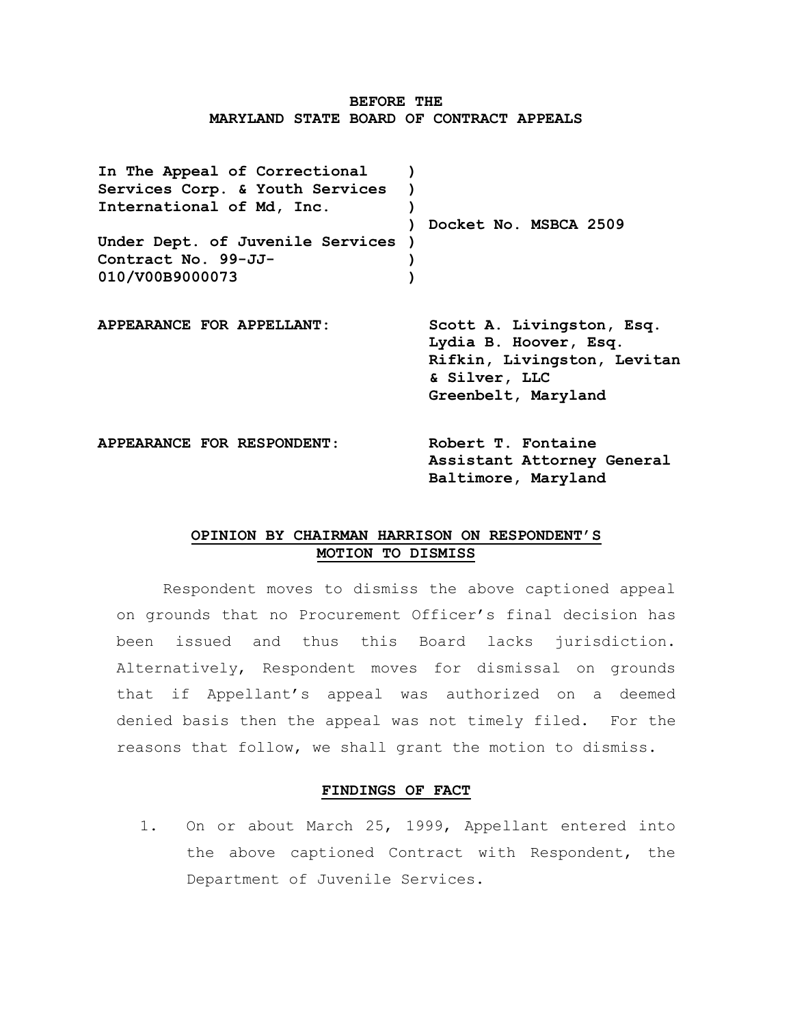## **BEFORE THE MARYLAND STATE BOARD OF CONTRACT APPEALS**

**In The Appeal of Correctional Services Corp. & Youth Services International of Md, Inc. Under Dept. of Juvenile Services ) Contract No. 99-JJ-010/V00B9000073 ) ) ) ) Docket No. MSBCA 2509 ) ) APPEARANCE FOR APPELLANT: Scott A. Livingston, Esq. Lydia B. Hoover, Esq. Rifkin, Livingston, Levitan & Silver, LLC**

**APPEARANCE FOR RESPONDENT**: **Robert T. Fontaine Assistant Attorney General Baltimore, Maryland**

**Greenbelt, Maryland**

# **OPINION BY CHAIRMAN HARRISON ON RESPONDENT'S MOTION TO DISMISS**

Respondent moves to dismiss the above captioned appeal on grounds that no Procurement Officer's final decision has been issued and thus this Board lacks jurisdiction. Alternatively, Respondent moves for dismissal on grounds that if Appellant's appeal was authorized on a deemed denied basis then the appeal was not timely filed. For the reasons that follow, we shall grant the motion to dismiss.

## **FINDINGS OF FACT**

1. On or about March 25, 1999, Appellant entered into the above captioned Contract with Respondent, the Department of Juvenile Services.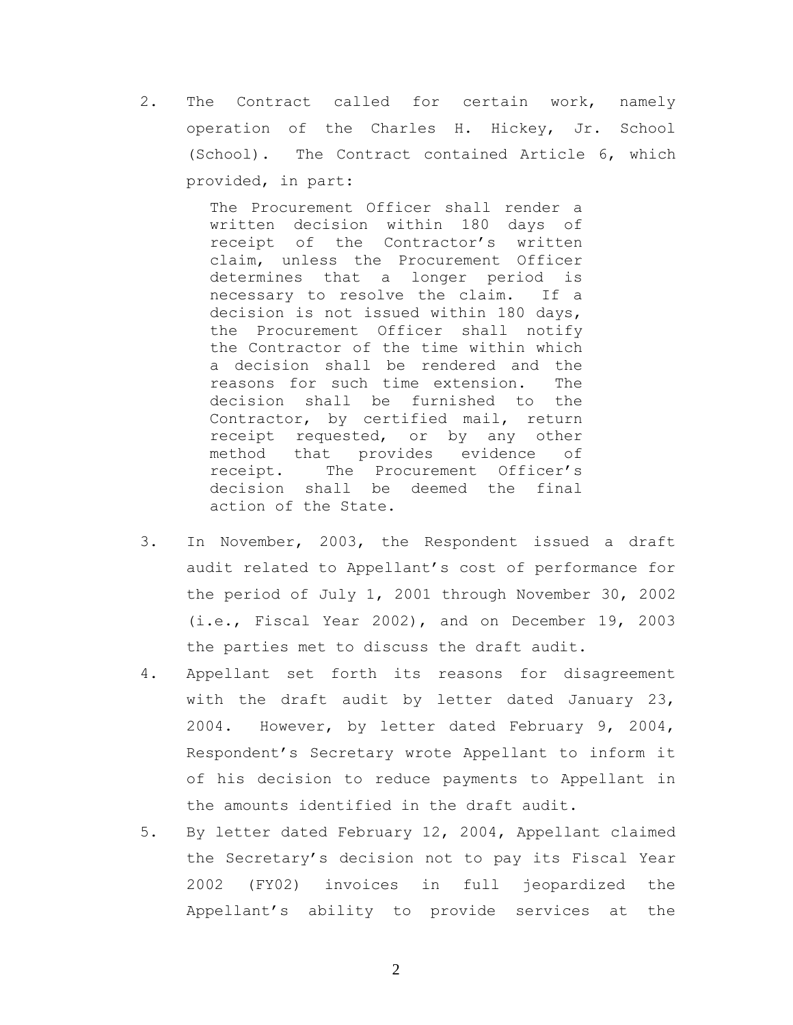2. The Contract called for certain work, namely operation of the Charles H. Hickey, Jr. School (School). The Contract contained Article 6, which provided, in part:

> The Procurement Officer shall render a written decision within 180 days of receipt of the Contractor's written claim, unless the Procurement Officer determines that a longer period is necessary to resolve the claim. If a decision is not issued within 180 days, the Procurement Officer shall notify the Contractor of the time within which a decision shall be rendered and the reasons for such time extension. The decision shall be furnished to the Contractor, by certified mail, return receipt requested, or by any other method that provides evidence of<br>receipt. The Procurement Officer's The Procurement Officer's decision shall be deemed the final action of the State.

- 3. In November, 2003, the Respondent issued a draft audit related to Appellant's cost of performance for the period of July 1, 2001 through November 30, 2002 (i.e., Fiscal Year 2002), and on December 19, 2003 the parties met to discuss the draft audit.
- 4. Appellant set forth its reasons for disagreement with the draft audit by letter dated January 23, 2004. However, by letter dated February 9, 2004, Respondent's Secretary wrote Appellant to inform it of his decision to reduce payments to Appellant in the amounts identified in the draft audit.
- 5. By letter dated February 12, 2004, Appellant claimed the Secretary's decision not to pay its Fiscal Year 2002 (FY02) invoices in full jeopardized the Appellant's ability to provide services at the

2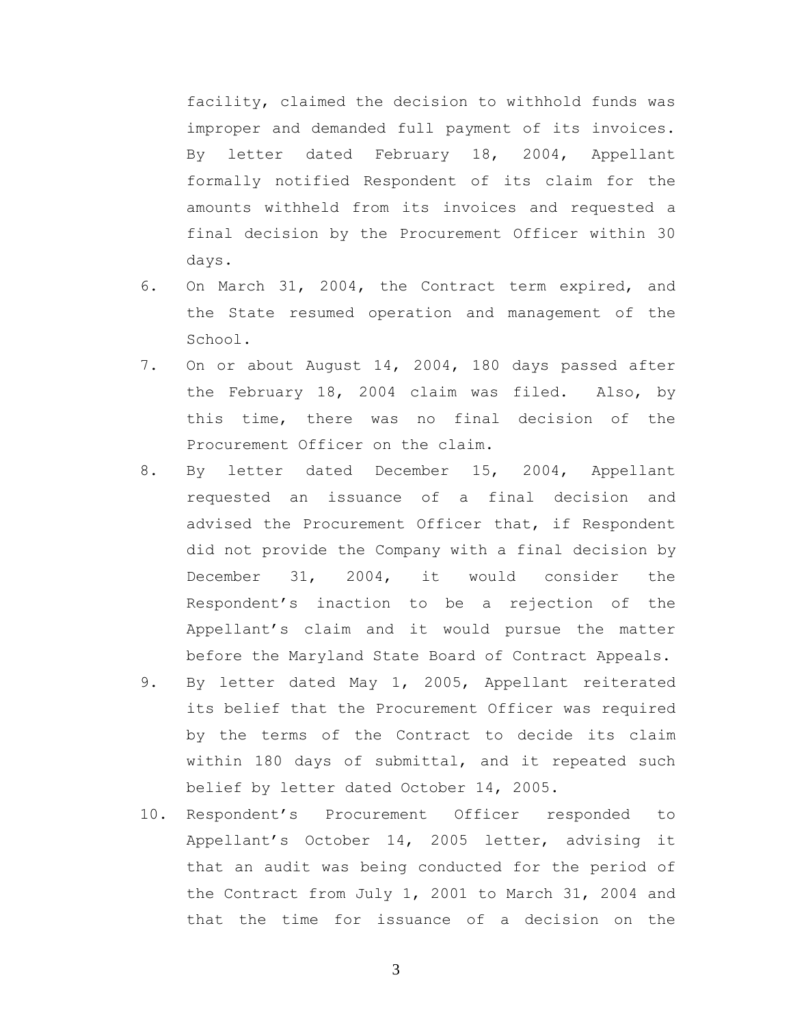facility, claimed the decision to withhold funds was improper and demanded full payment of its invoices. By letter dated February 18, 2004, Appellant formally notified Respondent of its claim for the amounts withheld from its invoices and requested a final decision by the Procurement Officer within 30 days.

- 6. On March 31, 2004, the Contract term expired, and the State resumed operation and management of the School.
- 7. On or about August 14, 2004, 180 days passed after the February 18, 2004 claim was filed. Also, by this time, there was no final decision of the Procurement Officer on the claim.
- 8. By letter dated December 15, 2004, Appellant requested an issuance of a final decision and advised the Procurement Officer that, if Respondent did not provide the Company with a final decision by December 31, 2004, it would consider the Respondent's inaction to be a rejection of the Appellant's claim and it would pursue the matter before the Maryland State Board of Contract Appeals.
- 9. By letter dated May 1, 2005, Appellant reiterated its belief that the Procurement Officer was required by the terms of the Contract to decide its claim within 180 days of submittal, and it repeated such belief by letter dated October 14, 2005.
- 10. Respondent's Procurement Officer responded to Appellant's October 14, 2005 letter, advising it that an audit was being conducted for the period of the Contract from July 1, 2001 to March 31, 2004 and that the time for issuance of a decision on the

3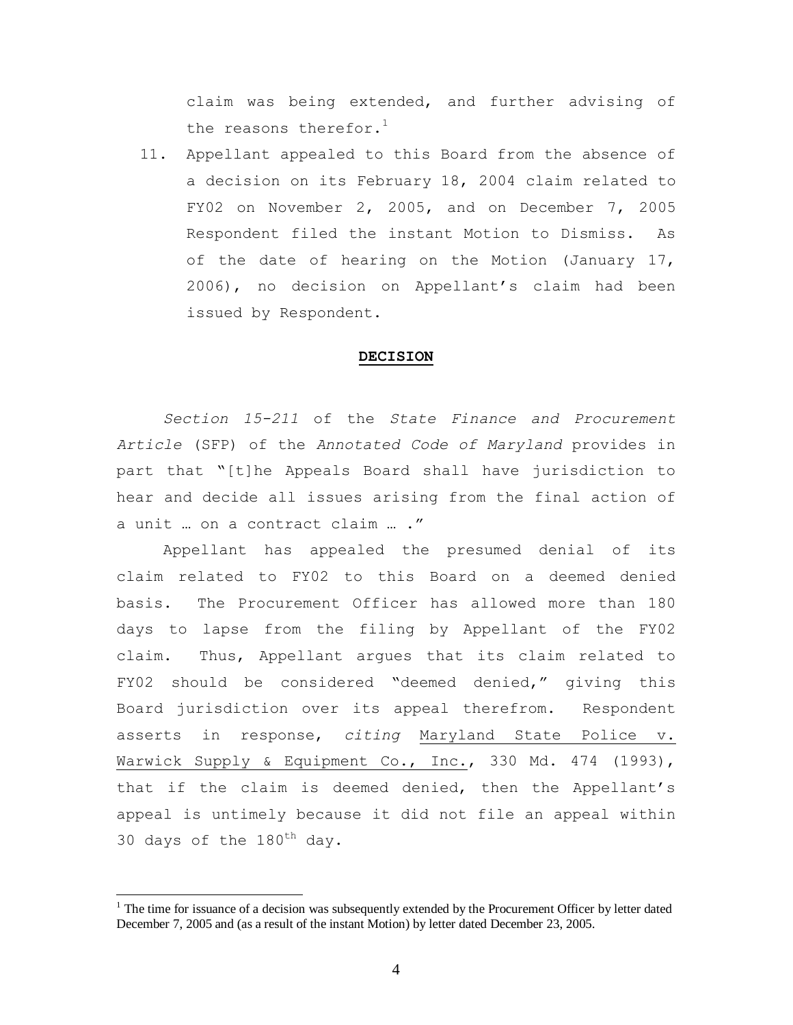claim was being extended, and further advising of the reasons therefor. $<sup>1</sup>$ </sup>

11. Appellant appealed to this Board from the absence of a decision on its February 18, 2004 claim related to FY02 on November 2, 2005, and on December 7, 2005 Respondent filed the instant Motion to Dismiss. As of the date of hearing on the Motion (January 17, 2006), no decision on Appellant's claim had been issued by Respondent.

#### **DECISION**

*Section 15-211* of the *State Finance and Procurement Article* (SFP) of the *Annotated Code of Maryland* provides in part that "[t]he Appeals Board shall have jurisdiction to hear and decide all issues arising from the final action of a unit … on a contract claim … ."

Appellant has appealed the presumed denial of its claim related to FY02 to this Board on a deemed denied basis. The Procurement Officer has allowed more than 180 days to lapse from the filing by Appellant of the FY02 claim. Thus, Appellant argues that its claim related to FY02 should be considered "deemed denied," giving this Board jurisdiction over its appeal therefrom. Respondent asserts in response, *citing* Maryland State Police v. Warwick Supply & Equipment Co., Inc., 330 Md. 474 (1993), that if the claim is deemed denied, then the Appellant's appeal is untimely because it did not file an appeal within 30 days of the  $180^{th}$  day.

 $1$  The time for issuance of a decision was subsequently extended by the Procurement Officer by letter dated December 7, 2005 and (as a result of the instant Motion) by letter dated December 23, 2005.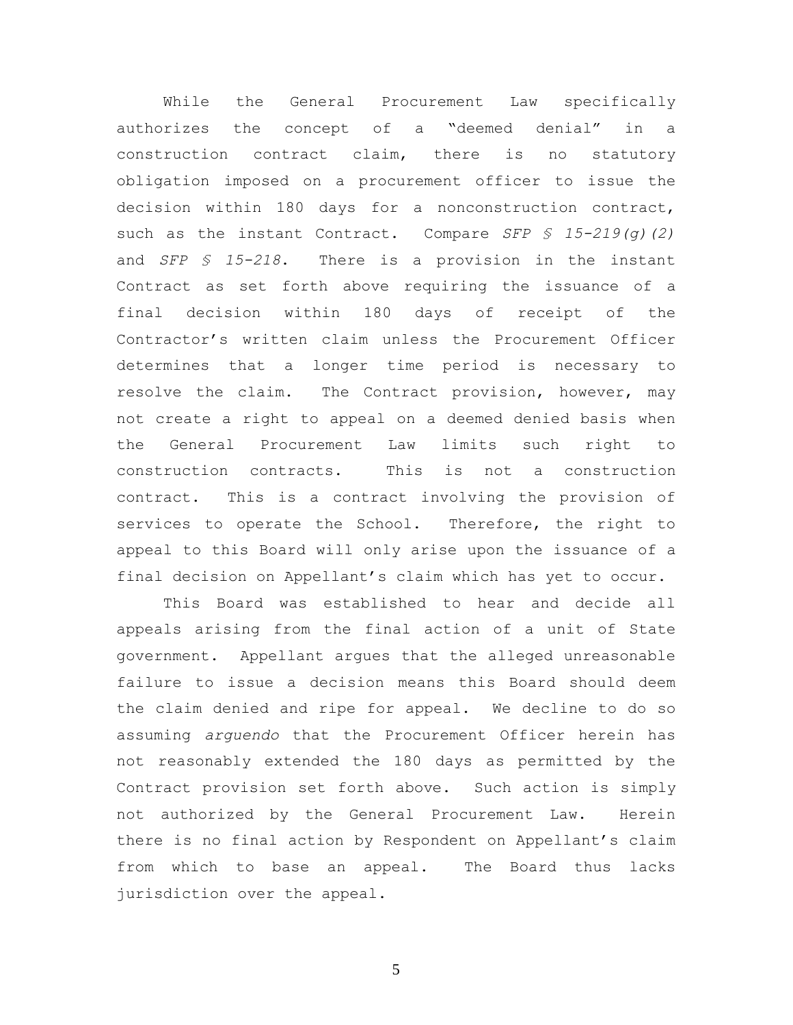While the General Procurement Law specifically authorizes the concept of a "deemed denial" in a construction contract claim, there is no statutory obligation imposed on a procurement officer to issue the decision within 180 days for a nonconstruction contract, such as the instant Contract. Compare *SFP § 15-219(g)(2)* and *SFP § 15-218*. There is a provision in the instant Contract as set forth above requiring the issuance of a final decision within 180 days of receipt of the Contractor's written claim unless the Procurement Officer determines that a longer time period is necessary to resolve the claim. The Contract provision, however, may not create a right to appeal on a deemed denied basis when the General Procurement Law limits such right to construction contracts. This is not a construction contract. This is a contract involving the provision of services to operate the School. Therefore, the right to appeal to this Board will only arise upon the issuance of a final decision on Appellant's claim which has yet to occur.

This Board was established to hear and decide all appeals arising from the final action of a unit of State government. Appellant argues that the alleged unreasonable failure to issue a decision means this Board should deem the claim denied and ripe for appeal. We decline to do so assuming *arguendo* that the Procurement Officer herein has not reasonably extended the 180 days as permitted by the Contract provision set forth above. Such action is simply not authorized by the General Procurement Law. Herein there is no final action by Respondent on Appellant's claim from which to base an appeal. The Board thus lacks jurisdiction over the appeal.

5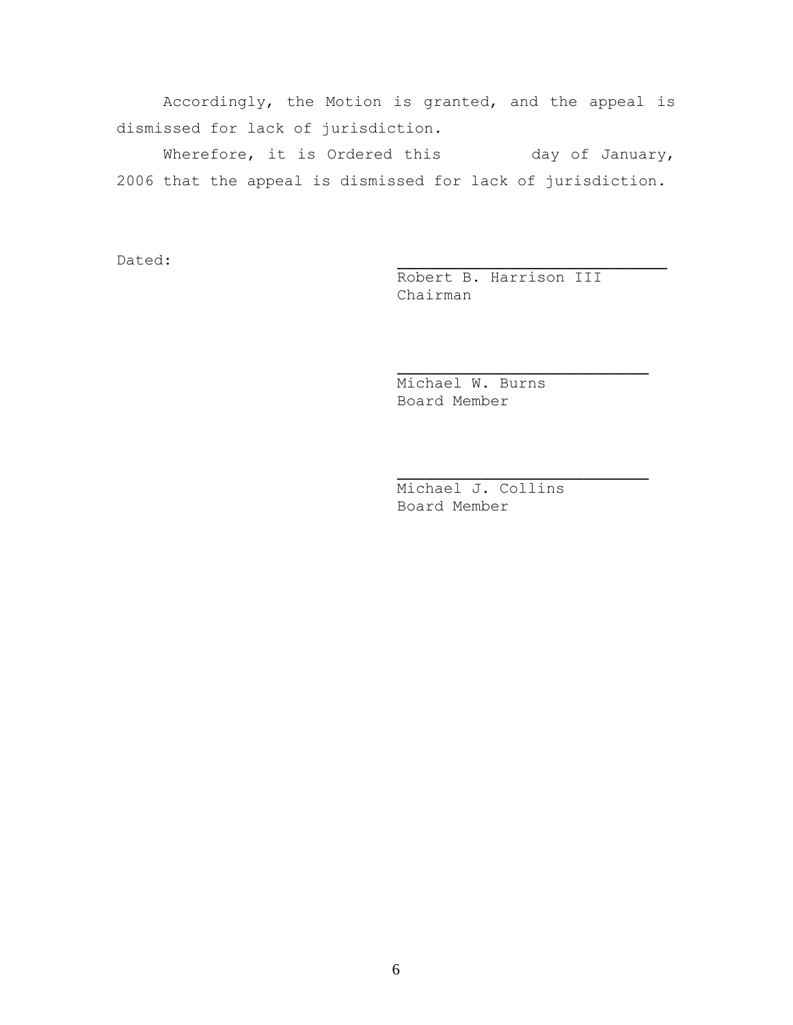Accordingly, the Motion is granted, and the appeal is dismissed for lack of jurisdiction.

Wherefore, it is Ordered this and day of January, 2006 that the appeal is dismissed for lack of jurisdiction.

Dated: \_\_\_\_\_\_\_\_\_\_\_\_\_\_\_\_\_\_\_\_\_\_\_\_\_\_\_\_\_

Robert B. Harrison III Chairman

 $\frac{1}{2}$  , and the set of the set of the set of the set of the set of the set of the set of the set of the set of the set of the set of the set of the set of the set of the set of the set of the set of the set of the set

 $\frac{1}{2}$  , and the set of the set of the set of the set of the set of the set of the set of the set of the set of the set of the set of the set of the set of the set of the set of the set of the set of the set of the set

Michael W. Burns Board Member

Michael J. Collins Board Member